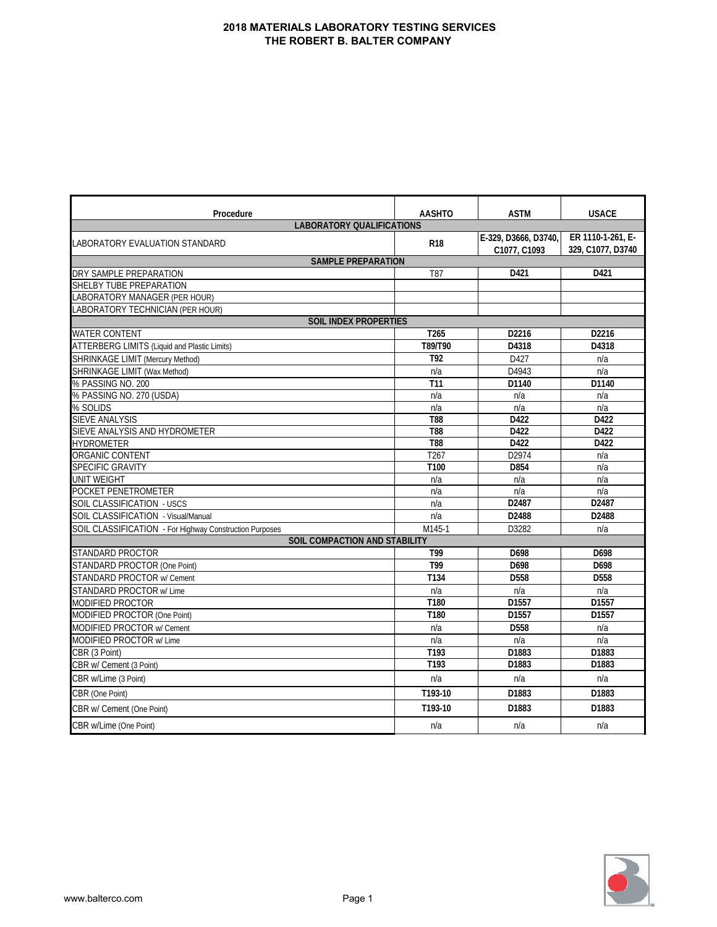| Procedure                                               | <b>AASHTO</b>    | <b>ASTM</b>                          | <b>USACE</b>                           |
|---------------------------------------------------------|------------------|--------------------------------------|----------------------------------------|
| <b>LABORATORY QUALIFICATIONS</b>                        |                  |                                      |                                        |
| LABORATORY EVALUATION STANDARD                          | <b>R18</b>       | E-329, D3666, D3740,<br>C1077, C1093 | ER 1110-1-261, E-<br>329, C1077, D3740 |
| <b>SAMPLE PREPARATION</b>                               |                  |                                      |                                        |
| DRY SAMPLE PREPARATION                                  | T87              | D421                                 | D421                                   |
| SHELBY TUBE PREPARATION                                 |                  |                                      |                                        |
| LABORATORY MANAGER (PER HOUR)                           |                  |                                      |                                        |
| LABORATORY TECHNICIAN (PER HOUR)                        |                  |                                      |                                        |
| <b>SOIL INDEX PROPERTIES</b>                            |                  |                                      |                                        |
| <b>WATER CONTENT</b>                                    | T <sub>265</sub> | D2216                                | D2216                                  |
| <b>ATTERBERG LIMITS (Liquid and Plastic Limits)</b>     | T89/T90          | D4318                                | D4318                                  |
| SHRINKAGE LIMIT (Mercury Method)                        | T92              | D427                                 | n/a                                    |
| SHRINKAGE LIMIT (Wax Method)                            | n/a              | D4943                                | n/a                                    |
| % PASSING NO. 200                                       | T <sub>11</sub>  | D1140                                | D1140                                  |
| % PASSING NO. 270 (USDA)                                | n/a              | n/a                                  | n/a                                    |
| % SOLIDS                                                | n/a              | n/a                                  | n/a                                    |
| <b>SIEVE ANALYSIS</b>                                   | <b>T88</b>       | D422                                 | D422                                   |
| SIEVE ANALYSIS AND HYDROMETER                           | <b>T88</b>       | D422                                 | D422                                   |
| <b>HYDROMETER</b>                                       | <b>T88</b>       | D422                                 | D422                                   |
| ORGANIC CONTENT                                         | T <sub>267</sub> | D2974                                | n/a                                    |
| SPECIFIC GRAVITY                                        | T100             | D854                                 | n/a                                    |
| <b>UNIT WEIGHT</b>                                      | n/a              | n/a                                  | n/a                                    |
| POCKET PENETROMETER                                     | n/a              | n/a                                  | n/a                                    |
| SOIL CLASSIFICATION - USCS                              | n/a              | D2487                                | D2487                                  |
| SOIL CLASSIFICATION - Visual/Manual                     | n/a              | D2488                                | D2488                                  |
| SOIL CLASSIFICATION - For Highway Construction Purposes | M145-1           | D3282                                | n/a                                    |
| <b>SOIL COMPACTION AND STABILITY</b>                    |                  |                                      |                                        |
| STANDARD PROCTOR                                        | T99              | D698                                 | D698                                   |
| STANDARD PROCTOR (One Point)                            | T99              | D698                                 | D698                                   |
| STANDARD PROCTOR w/ Cement                              | T134             | D558                                 | D558                                   |
| <b>STANDARD PROCTOR w/ Lime</b>                         | n/a              | n/a                                  | n/a                                    |
| MODIFIED PROCTOR                                        | T180             | D1557                                | D <sub>1557</sub>                      |
| MODIFIED PROCTOR (One Point)                            | T180             | D1557                                | D1557                                  |
| MODIFIED PROCTOR w/ Cement                              | n/a              | D <sub>558</sub>                     | n/a                                    |
| MODIFIED PROCTOR w/ Lime                                | n/a              | n/a                                  | n/a                                    |
| CBR (3 Point)                                           | T193             | D1883                                | D1883                                  |
| CBR w/ Cement (3 Point)                                 | T193             | D1883                                | D1883                                  |
| CBR w/Lime (3 Point)                                    | n/a              | n/a                                  | n/a                                    |
| CBR (One Point)                                         | T193-10          | D1883                                | D1883                                  |
| CBR w/ Cement (One Point)                               | T193-10          | D1883                                | D1883                                  |
| CBR w/Lime (One Point)                                  | n/a              | n/a                                  | n/a                                    |

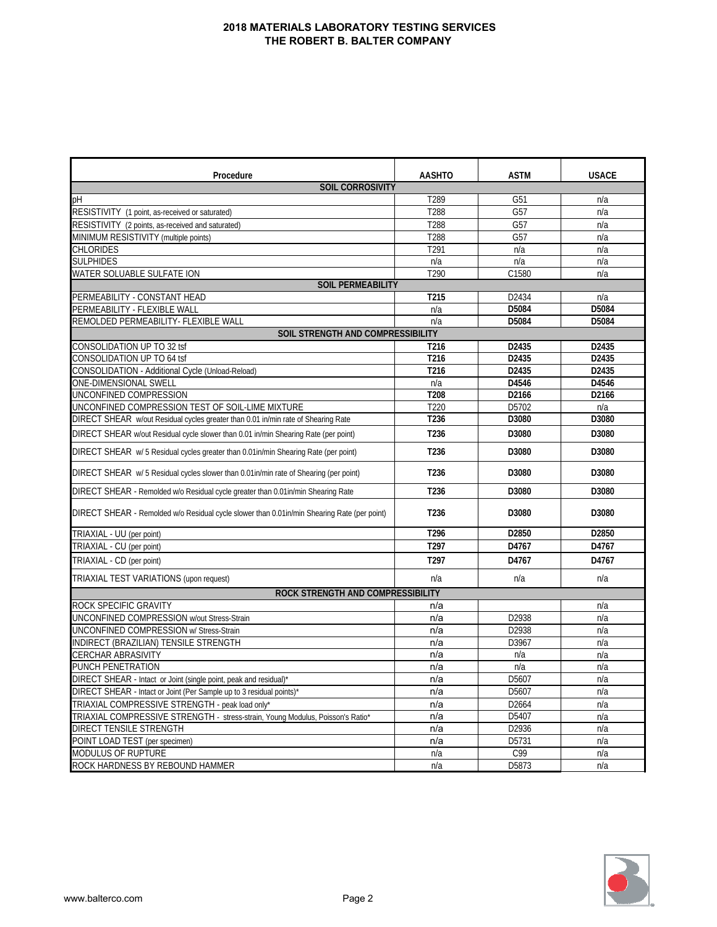| Procedure                                                                                   | <b>AASHTO</b>    | <b>ASTM</b> | <b>USACE</b> |
|---------------------------------------------------------------------------------------------|------------------|-------------|--------------|
| <b>SOIL CORROSIVITY</b>                                                                     |                  |             |              |
| рH                                                                                          | T289             | G51         | n/a          |
| RESISTIVITY (1 point, as-received or saturated)                                             | T288             | G57         | n/a          |
| RESISTIVITY (2 points, as-received and saturated)                                           | T288             | G57         | n/a          |
| MINIMUM RESISTIVITY (multiple points)                                                       | T288             | G57         | n/a          |
| CHLORIDES                                                                                   | T291             | n/a         | n/a          |
| <b>SULPHIDES</b>                                                                            | n/a              | n/a         | n/a          |
| WATER SOLUABLE SULFATE ION                                                                  | T <sub>290</sub> | C1580       | n/a          |
| <b>SOIL PERMEABILITY</b>                                                                    |                  |             |              |
| PERMEABILITY - CONSTANT HEAD                                                                | T215             | D2434       | n/a          |
| PERMEABILITY - FLEXIBLE WALL                                                                | n/a              | D5084       | D5084        |
| REMOLDED PERMEABILITY- FLEXIBLE WALL                                                        | n/a              | D5084       | D5084        |
| SOIL STRENGTH AND COMPRESSIBILITY                                                           |                  |             |              |
| CONSOLIDATION UP TO 32 tsf                                                                  | T216             | D2435       | D2435        |
| CONSOLIDATION UP TO 64 tsf                                                                  | T216             | D2435       | D2435        |
| CONSOLIDATION - Additional Cycle (Unload-Reload)                                            | T216             | D2435       | D2435        |
| ONE-DIMENSIONAL SWELL                                                                       | n/a              | D4546       | D4546        |
| UNCONFINED COMPRESSION                                                                      | T208             | D2166       | D2166        |
| UNCONFINED COMPRESSION TEST OF SOIL-LIME MIXTURE                                            | T <sub>220</sub> | D5702       | n/a          |
| DIRECT SHEAR w/out Residual cycles greater than 0.01 in/min rate of Shearing Rate           | T236             | D3080       | D3080        |
| DIRECT SHEAR w/out Residual cycle slower than 0.01 in/min Shearing Rate (per point)         | T236             | D3080       | D3080        |
| DIRECT SHEAR w/ 5 Residual cycles greater than 0.01 in/min Shearing Rate (per point)        | T236             | D3080       | D3080        |
| DIRECT SHEAR w/ 5 Residual cycles slower than 0.01 in/min rate of Shearing (per point)      | T236             | D3080       | D3080        |
| DIRECT SHEAR - Remolded w/o Residual cycle greater than 0.01in/min Shearing Rate            | T <sub>236</sub> | D3080       | D3080        |
| DIRECT SHEAR - Remolded w/o Residual cycle slower than 0.01in/min Shearing Rate (per point) | T236             | D3080       | D3080        |
| TRIAXIAL - UU (per point)                                                                   | T296             | D2850       | D2850        |
| TRIAXIAL - CU (per point)                                                                   | T297             | D4767       | D4767        |
| TRIAXIAL - CD (per point)                                                                   | T <sub>297</sub> | D4767       | D4767        |
| TRIAXIAL TEST VARIATIONS (upon request)                                                     | n/a              | n/a         | n/a          |
| ROCK STRENGTH AND COMPRESSIBILITY                                                           |                  |             |              |
| ROCK SPECIFIC GRAVITY                                                                       | n/a              |             | n/a          |
| UNCONFINED COMPRESSION w/out Stress-Strain                                                  | n/a              | D2938       | n/a          |
| UNCONFINED COMPRESSION w/ Stress-Strain                                                     | n/a              | D2938       | n/a          |
| INDIRECT (BRAZILIAN) TENSILE STRENGTH                                                       | n/a              | D3967       | n/a          |
| <b>CERCHAR ABRASIVITY</b>                                                                   | n/a              | n/a         | n/a          |
| PUNCH PENETRATION                                                                           | n/a              | n/a         | n/a          |
| DIRECT SHEAR - Intact or Joint (single point, peak and residual)*                           | n/a              | D5607       | n/a          |
| DIRECT SHEAR - Intact or Joint (Per Sample up to 3 residual points)*                        | n/a              | D5607       | n/a          |
| TRIAXIAL COMPRESSIVE STRENGTH - peak load only*                                             | n/a              | D2664       | n/a          |
| TRIAXIAL COMPRESSIVE STRENGTH - stress-strain, Young Modulus, Poisson's Ratio*              | n/a              | D5407       | n/a          |
| DIRECT TENSILE STRENGTH                                                                     | n/a              | D2936       | n/a          |
| POINT LOAD TEST (per specimen)                                                              | n/a              | D5731       | n/a          |
| MODULUS OF RUPTURE                                                                          | n/a              | C99         | n/a          |
| ROCK HARDNESS BY REBOUND HAMMER                                                             | n/a              | D5873       | n/a          |

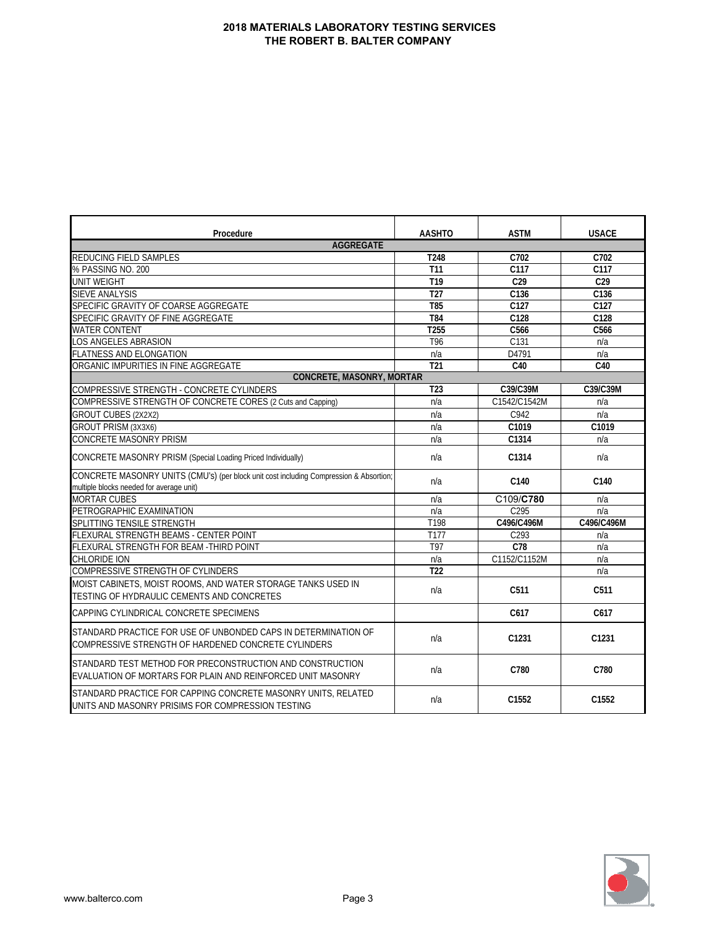| Procedure                                                                                                                          | <b>AASHTO</b>    | <b>ASTM</b>       | <b>USACE</b>      |
|------------------------------------------------------------------------------------------------------------------------------------|------------------|-------------------|-------------------|
| <b>AGGREGATE</b>                                                                                                                   |                  |                   |                   |
| REDUCING FIELD SAMPLES                                                                                                             | T248             | C702              | C702              |
| % PASSING NO. 200                                                                                                                  | T11              | C117              | C117              |
| UNIT WEIGHT                                                                                                                        | T <sub>19</sub>  | C <sub>29</sub>   | C <sub>29</sub>   |
| <b>SIEVE ANALYSIS</b>                                                                                                              | T27              | C136              | C136              |
| SPECIFIC GRAVITY OF COARSE AGGREGATE                                                                                               | T <sub>85</sub>  | C127              | C127              |
| SPECIFIC GRAVITY OF FINE AGGREGATE                                                                                                 | <b>T84</b>       | C128              | C128              |
| <b>WATER CONTENT</b>                                                                                                               | T <sub>255</sub> | C566              | C566              |
| LOS ANGELES ABRASION                                                                                                               | T96              | $\overline{C131}$ | n/a               |
| FLATNESS AND ELONGATION                                                                                                            | n/a              | D4791             | n/a               |
| ORGANIC IMPURITIES IN FINE AGGREGATE                                                                                               | $\overline{121}$ | C40               | C40               |
| <b>CONCRETE, MASONRY, MORTAR</b>                                                                                                   |                  |                   |                   |
| COMPRESSIVE STRENGTH - CONCRETE CYLINDERS                                                                                          | T <sub>23</sub>  | C39/C39M          | C39/C39M          |
| COMPRESSIVE STRENGTH OF CONCRETE CORES (2 Cuts and Capping)                                                                        | n/a              | C1542/C1542M      | n/a               |
| GROUT CUBES (2X2X2)                                                                                                                | n/a              | C942              | n/a               |
| GROUT PRISM (3X3X6)                                                                                                                | n/a              | C1019             | C1019             |
| <b>CONCRETE MASONRY PRISM</b>                                                                                                      | n/a              | C1314             | n/a               |
| CONCRETE MASONRY PRISM (Special Loading Priced Individually)                                                                       | n/a              | C1314             | n/a               |
| CONCRETE MASONRY UNITS (CMU's) (per block unit cost including Compression & Absortion;<br>multiple blocks needed for average unit) | n/a              | C140              | C140              |
| <b>MORTAR CUBES</b>                                                                                                                | n/a              | C109/C780         | n/a               |
| PETROGRAPHIC EXAMINATION                                                                                                           | n/a              | C295              | n/a               |
| SPLITTING TENSILE STRENGTH                                                                                                         | T198             | C496/C496M        | C496/C496M        |
| FLEXURAL STRENGTH BEAMS - CENTER POINT                                                                                             | T177             | C293              | n/a               |
| FLEXURAL STRENGTH FOR BEAM -THIRD POINT                                                                                            | T97              | C <sub>78</sub>   | n/a               |
| <b>CHLORIDE ION</b>                                                                                                                | n/a              | C1152/C1152M      | n/a               |
| COMPRESSIVE STRENGTH OF CYLINDERS                                                                                                  | $\overline{122}$ |                   | n/a               |
| MOIST CABINETS, MOIST ROOMS, AND WATER STORAGE TANKS USED IN<br>TESTING OF HYDRAULIC CEMENTS AND CONCRETES                         | n/a              | C511              | C511              |
| CAPPING CYLINDRICAL CONCRETE SPECIMENS                                                                                             |                  | C617              | C617              |
| STANDARD PRACTICE FOR USE OF UNBONDED CAPS IN DETERMINATION OF<br>COMPRESSIVE STRENGTH OF HARDENED CONCRETE CYLINDERS              | n/a              | C1231             | C1231             |
| STANDARD TEST METHOD FOR PRECONSTRUCTION AND CONSTRUCTION<br>EVALUATION OF MORTARS FOR PLAIN AND REINFORCED UNIT MASONRY           | n/a              | C780              | C780              |
| STANDARD PRACTICE FOR CAPPING CONCRETE MASONRY UNITS, RELATED<br>UNITS AND MASONRY PRISIMS FOR COMPRESSION TESTING                 | n/a              | C <sub>1552</sub> | C <sub>1552</sub> |